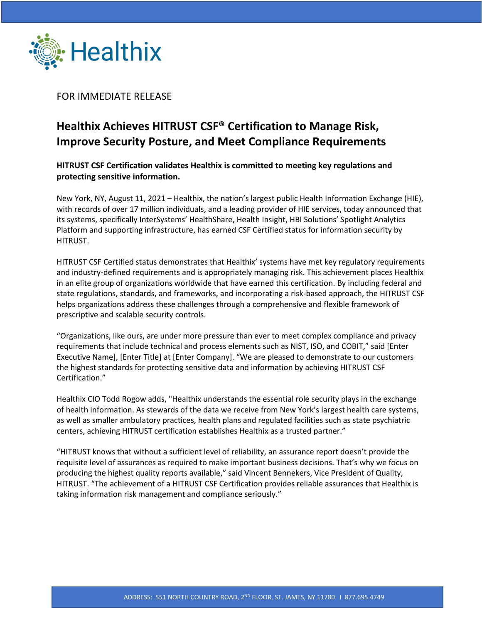

FOR IMMEDIATE RELEASE

## **Healthix Achieves HITRUST CSF® Certification to Manage Risk, Improve Security Posture, and Meet Compliance Requirements**

**HITRUST CSF Certification validates Healthix is committed to meeting key regulations and protecting sensitive information.** 

New York, NY, August 11, 2021 – Healthix, the nation's largest public Health Information Exchange (HIE), with records of over 17 million individuals, and a leading provider of HIE services, today announced that its systems, specifically InterSystems' HealthShare, Health Insight, HBI Solutions' Spotlight Analytics Platform and supporting infrastructure, has earned CSF Certified status for information security by HITRUST.

HITRUST CSF Certified status demonstrates that Healthix' systems have met key regulatory requirements and industry-defined requirements and is appropriately managing risk. This achievement places Healthix in an elite group of organizations worldwide that have earned this certification. By including federal and state regulations, standards, and frameworks, and incorporating a risk-based approach, the HITRUST CSF helps organizations address these challenges through a comprehensive and flexible framework of prescriptive and scalable security controls.

"Organizations, like ours, are under more pressure than ever to meet complex compliance and privacy requirements that include technical and process elements such as NIST, ISO, and COBIT," said [Enter Executive Name], [Enter Title] at [Enter Company]. "We are pleased to demonstrate to our customers the highest standards for protecting sensitive data and information by achieving HITRUST CSF Certification."

Healthix CIO Todd Rogow adds, "Healthix understands the essential role security plays in the exchange of health information. As stewards of the data we receive from New York's largest health care systems, as well as smaller ambulatory practices, health plans and regulated facilities such as state psychiatric centers, achieving HITRUST certification establishes Healthix as a trusted partner."

"HITRUST knows that without a sufficient level of reliability, an assurance report doesn't provide the requisite level of assurances as required to make important business decisions. That's why we focus on producing the highest quality reports available," said Vincent Bennekers, Vice President of Quality, HITRUST. "The achievement of a HITRUST CSF Certification provides reliable assurances that Healthix is taking information risk management and compliance seriously."